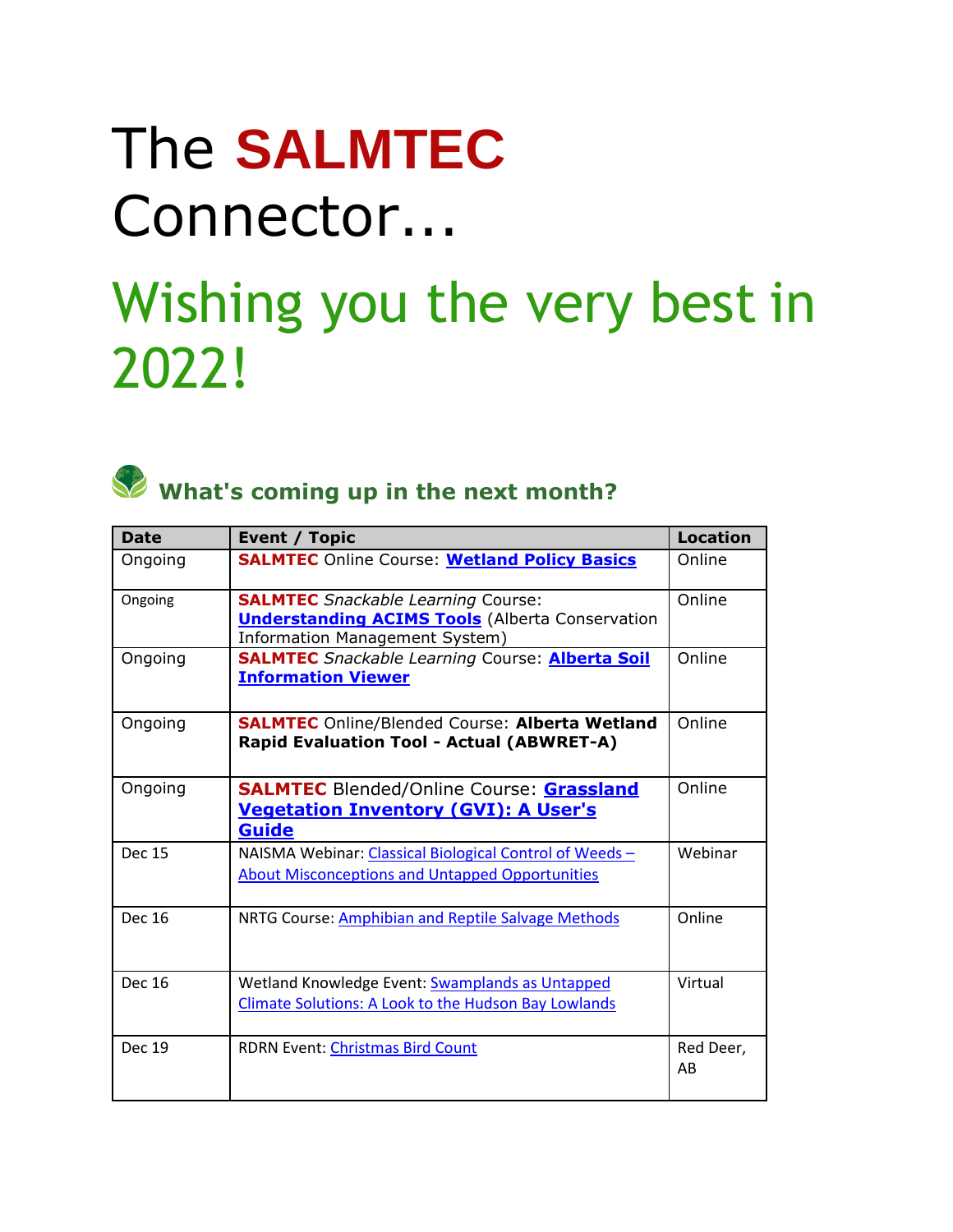## The **SALMTEC**  Connector...

## Wishing you the very best in 2022!



## What's coming up in the next month?

| <b>Date</b>   | Event / Topic                                                                                                                         | <b>Location</b> |
|---------------|---------------------------------------------------------------------------------------------------------------------------------------|-----------------|
| Ongoing       | <b>SALMTEC Online Course: Wetland Policy Basics</b>                                                                                   | Online          |
| Ongoing       | <b>SALMTEC</b> Snackable Learning Course:<br><b>Understanding ACIMS Tools</b> (Alberta Conservation<br>Information Management System) | Online          |
| Ongoing       | <b>SALMTEC</b> Snackable Learning Course: <b>Alberta Soil</b><br><b>Information Viewer</b>                                            | Online          |
| Ongoing       | <b>SALMTEC</b> Online/Blended Course: Alberta Wetland<br><b>Rapid Evaluation Tool - Actual (ABWRET-A)</b>                             | Online          |
| Ongoing       | <b>SALMTEC</b> Blended/Online Course: <b>Grassland</b><br><b>Vegetation Inventory (GVI): A User's</b><br><b>Guide</b>                 | Online          |
| <b>Dec 15</b> | NAISMA Webinar: Classical Biological Control of Weeds -<br><b>About Misconceptions and Untapped Opportunities</b>                     | Webinar         |
| <b>Dec 16</b> | NRTG Course: Amphibian and Reptile Salvage Methods                                                                                    | Online          |
| Dec 16        | Wetland Knowledge Event: Swamplands as Untapped<br><b>Climate Solutions: A Look to the Hudson Bay Lowlands</b>                        | Virtual         |
| <b>Dec 19</b> | <b>RDRN Event: Christmas Bird Count</b>                                                                                               | Red Deer,<br>AB |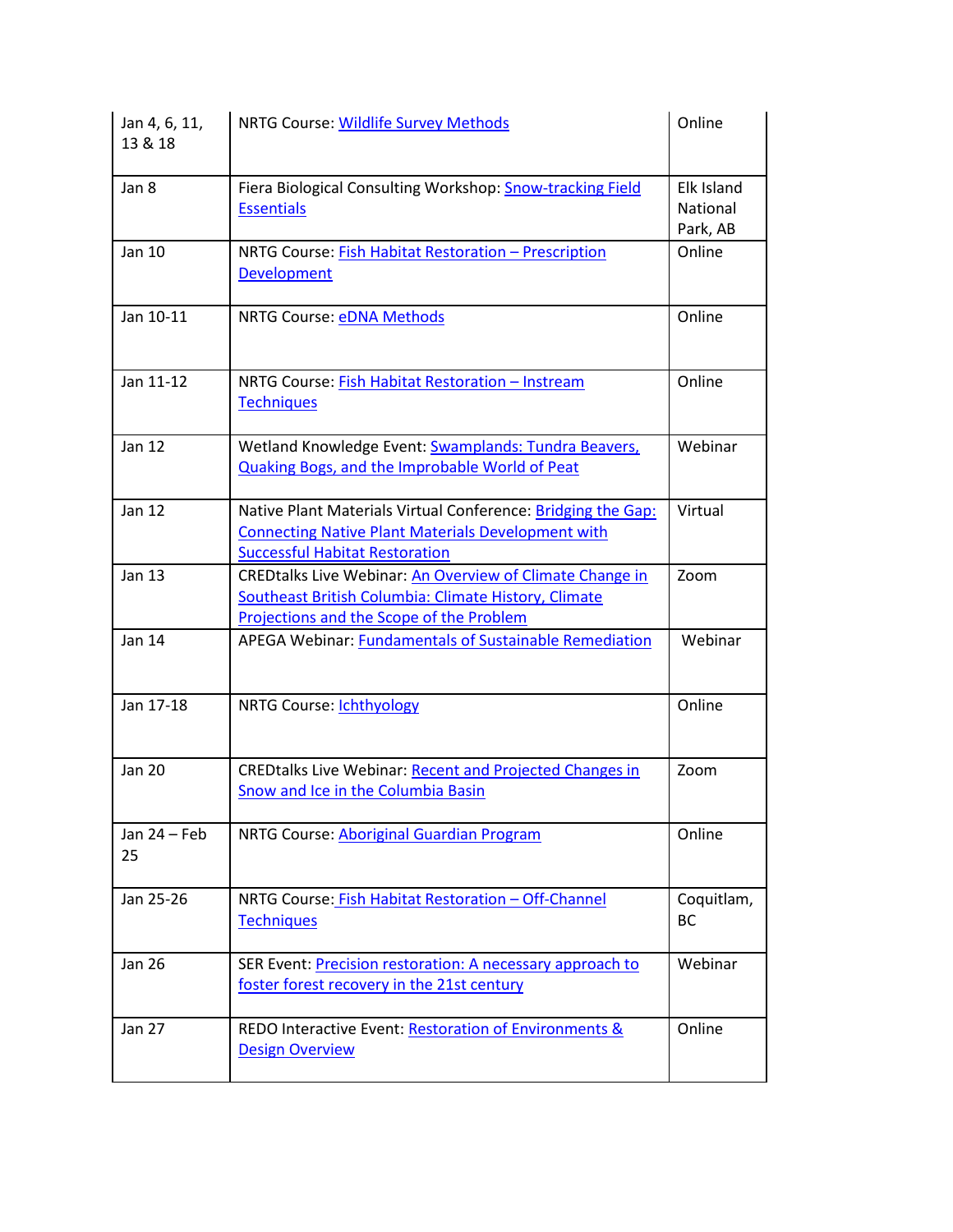| Jan 4, 6, 11,<br>13 & 18 | NRTG Course: Wildlife Survey Methods                                                                                                                                | Online                             |
|--------------------------|---------------------------------------------------------------------------------------------------------------------------------------------------------------------|------------------------------------|
| Jan 8                    | Fiera Biological Consulting Workshop: Snow-tracking Field<br><b>Essentials</b>                                                                                      | Elk Island<br>National<br>Park, AB |
| Jan 10                   | NRTG Course: Fish Habitat Restoration - Prescription<br>Development                                                                                                 | Online                             |
| Jan 10-11                | <b>NRTG Course: eDNA Methods</b>                                                                                                                                    | Online                             |
| Jan 11-12                | NRTG Course: Fish Habitat Restoration - Instream<br><b>Techniques</b>                                                                                               | Online                             |
| <b>Jan 12</b>            | Wetland Knowledge Event: Swamplands: Tundra Beavers,<br><b>Quaking Bogs, and the Improbable World of Peat</b>                                                       | Webinar                            |
| <b>Jan 12</b>            | Native Plant Materials Virtual Conference: Bridging the Gap:<br><b>Connecting Native Plant Materials Development with</b><br><b>Successful Habitat Restoration</b>  | Virtual                            |
| <b>Jan 13</b>            | <b>CREDtalks Live Webinar: An Overview of Climate Change in</b><br>Southeast British Columbia: Climate History, Climate<br>Projections and the Scope of the Problem | Zoom                               |
| Jan 14                   | APEGA Webinar: Fundamentals of Sustainable Remediation                                                                                                              | Webinar                            |
| Jan 17-18                | <b>NRTG Course: Ichthyology</b>                                                                                                                                     | Online                             |
| <b>Jan 20</b>            | <b>CREDtalks Live Webinar: Recent and Projected Changes in</b><br>Snow and Ice in the Columbia Basin                                                                | Zoom                               |
| Jan $24$ – Feb<br>25     | NRTG Course: Aboriginal Guardian Program                                                                                                                            | Online                             |
| Jan 25-26                | NRTG Course: Fish Habitat Restoration - Off-Channel<br><b>Techniques</b>                                                                                            | Coquitlam,<br><b>BC</b>            |
| <b>Jan 26</b>            | SER Event: Precision restoration: A necessary approach to<br>foster forest recovery in the 21st century                                                             | Webinar                            |
| <b>Jan 27</b>            | REDO Interactive Event: Restoration of Environments &<br><b>Design Overview</b>                                                                                     | Online                             |